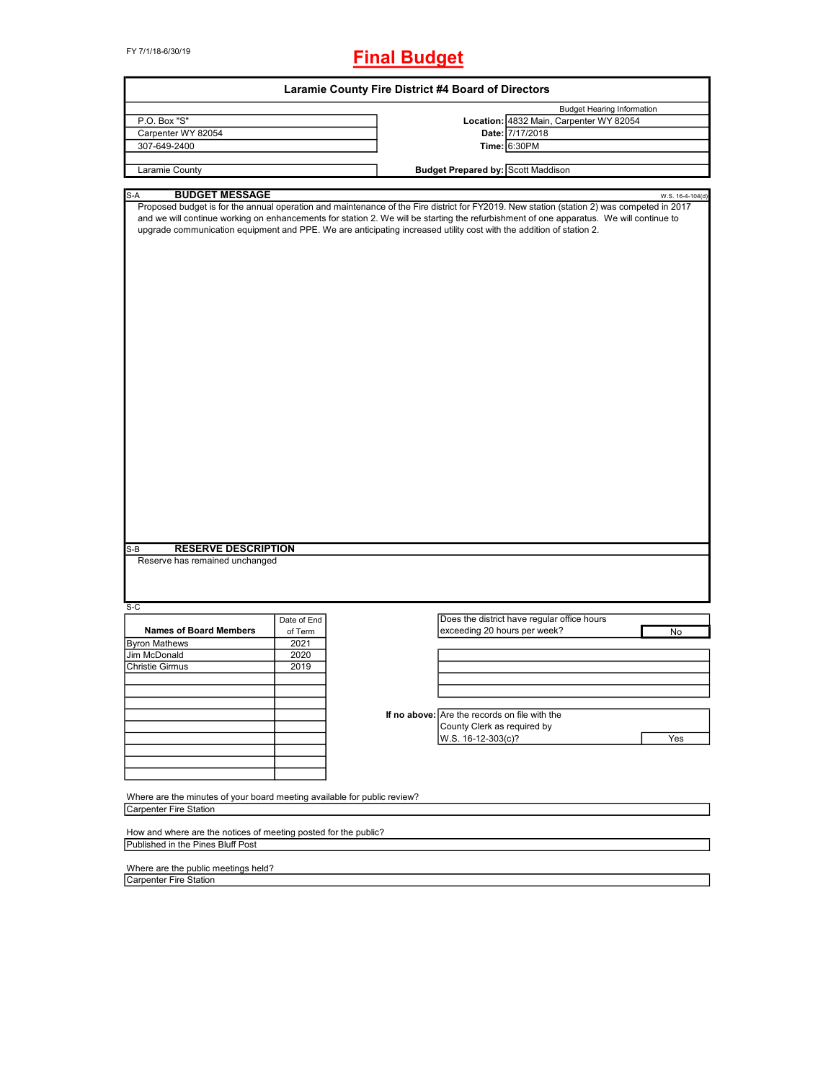FY 7/1/18-6/30/19

# **Final Budget**

|                                                                                                                                                                           |             | Laramie County Fire District #4 Board of Directors |                                               |                                             |                                   |                  |
|---------------------------------------------------------------------------------------------------------------------------------------------------------------------------|-------------|----------------------------------------------------|-----------------------------------------------|---------------------------------------------|-----------------------------------|------------------|
|                                                                                                                                                                           |             |                                                    |                                               |                                             | <b>Budget Hearing Information</b> |                  |
| P.O. Box "S"                                                                                                                                                              |             |                                                    |                                               | Location: 4832 Main, Carpenter WY 82054     |                                   |                  |
| Carpenter WY 82054                                                                                                                                                        |             |                                                    |                                               | Date: 7/17/2018                             |                                   |                  |
| 307-649-2400                                                                                                                                                              |             |                                                    |                                               | Time: 6:30PM                                |                                   |                  |
|                                                                                                                                                                           |             |                                                    |                                               |                                             |                                   |                  |
| Laramie County                                                                                                                                                            |             |                                                    | <b>Budget Prepared by: Scott Maddison</b>     |                                             |                                   |                  |
|                                                                                                                                                                           |             |                                                    |                                               |                                             |                                   |                  |
| S-A<br><b>BUDGET MESSAGE</b><br>Proposed budget is for the annual operation and maintenance of the Fire district for FY2019. New station (station 2) was competed in 2017 |             |                                                    |                                               |                                             |                                   | W.S. 16-4-104(d) |
| and we will continue working on enhancements for station 2. We will be starting the refurbishment of one apparatus. We will continue to                                   |             |                                                    |                                               |                                             |                                   |                  |
| upgrade communication equipment and PPE. We are anticipating increased utility cost with the addition of station 2.                                                       |             |                                                    |                                               |                                             |                                   |                  |
|                                                                                                                                                                           |             |                                                    |                                               |                                             |                                   |                  |
|                                                                                                                                                                           |             |                                                    |                                               |                                             |                                   |                  |
|                                                                                                                                                                           |             |                                                    |                                               |                                             |                                   |                  |
|                                                                                                                                                                           |             |                                                    |                                               |                                             |                                   |                  |
|                                                                                                                                                                           |             |                                                    |                                               |                                             |                                   |                  |
|                                                                                                                                                                           |             |                                                    |                                               |                                             |                                   |                  |
|                                                                                                                                                                           |             |                                                    |                                               |                                             |                                   |                  |
|                                                                                                                                                                           |             |                                                    |                                               |                                             |                                   |                  |
|                                                                                                                                                                           |             |                                                    |                                               |                                             |                                   |                  |
|                                                                                                                                                                           |             |                                                    |                                               |                                             |                                   |                  |
|                                                                                                                                                                           |             |                                                    |                                               |                                             |                                   |                  |
|                                                                                                                                                                           |             |                                                    |                                               |                                             |                                   |                  |
|                                                                                                                                                                           |             |                                                    |                                               |                                             |                                   |                  |
|                                                                                                                                                                           |             |                                                    |                                               |                                             |                                   |                  |
|                                                                                                                                                                           |             |                                                    |                                               |                                             |                                   |                  |
|                                                                                                                                                                           |             |                                                    |                                               |                                             |                                   |                  |
|                                                                                                                                                                           |             |                                                    |                                               |                                             |                                   |                  |
|                                                                                                                                                                           |             |                                                    |                                               |                                             |                                   |                  |
|                                                                                                                                                                           |             |                                                    |                                               |                                             |                                   |                  |
|                                                                                                                                                                           |             |                                                    |                                               |                                             |                                   |                  |
|                                                                                                                                                                           |             |                                                    |                                               |                                             |                                   |                  |
|                                                                                                                                                                           |             |                                                    |                                               |                                             |                                   |                  |
|                                                                                                                                                                           |             |                                                    |                                               |                                             |                                   |                  |
|                                                                                                                                                                           |             |                                                    |                                               |                                             |                                   |                  |
|                                                                                                                                                                           |             |                                                    |                                               |                                             |                                   |                  |
|                                                                                                                                                                           |             |                                                    |                                               |                                             |                                   |                  |
|                                                                                                                                                                           |             |                                                    |                                               |                                             |                                   |                  |
| <b>RESERVE DESCRIPTION</b><br>$S-B$                                                                                                                                       |             |                                                    |                                               |                                             |                                   |                  |
| Reserve has remained unchanged                                                                                                                                            |             |                                                    |                                               |                                             |                                   |                  |
|                                                                                                                                                                           |             |                                                    |                                               |                                             |                                   |                  |
|                                                                                                                                                                           |             |                                                    |                                               |                                             |                                   |                  |
|                                                                                                                                                                           |             |                                                    |                                               |                                             |                                   |                  |
| $S-C$                                                                                                                                                                     |             |                                                    |                                               |                                             |                                   |                  |
|                                                                                                                                                                           | Date of End |                                                    |                                               | Does the district have regular office hours |                                   |                  |
| <b>Names of Board Members</b>                                                                                                                                             | of Term     |                                                    | exceeding 20 hours per week?                  |                                             |                                   | No               |
| <b>Byron Mathews</b>                                                                                                                                                      | 2021        |                                                    |                                               |                                             |                                   |                  |
| Jim McDonald                                                                                                                                                              | 2020        |                                                    |                                               |                                             |                                   |                  |
| <b>Christie Girmus</b>                                                                                                                                                    | 2019        |                                                    |                                               |                                             |                                   |                  |
|                                                                                                                                                                           |             |                                                    |                                               |                                             |                                   |                  |
|                                                                                                                                                                           |             |                                                    |                                               |                                             |                                   |                  |
|                                                                                                                                                                           |             |                                                    |                                               |                                             |                                   |                  |
|                                                                                                                                                                           |             |                                                    | If no above: Are the records on file with the |                                             |                                   |                  |
|                                                                                                                                                                           |             |                                                    | County Clerk as required by                   |                                             |                                   |                  |
|                                                                                                                                                                           |             |                                                    | W.S. 16-12-303(c)?                            |                                             |                                   | Yes              |
|                                                                                                                                                                           |             |                                                    |                                               |                                             |                                   |                  |
|                                                                                                                                                                           |             |                                                    |                                               |                                             |                                   |                  |
|                                                                                                                                                                           |             |                                                    |                                               |                                             |                                   |                  |
|                                                                                                                                                                           |             |                                                    |                                               |                                             |                                   |                  |
| Where are the minutes of your board meeting available for public review?                                                                                                  |             |                                                    |                                               |                                             |                                   |                  |
| Carpenter Fire Station                                                                                                                                                    |             |                                                    |                                               |                                             |                                   |                  |
|                                                                                                                                                                           |             |                                                    |                                               |                                             |                                   |                  |
| How and where are the notices of meeting posted for the public?                                                                                                           |             |                                                    |                                               |                                             |                                   |                  |
| Published in the Pines Bluff Post                                                                                                                                         |             |                                                    |                                               |                                             |                                   |                  |
|                                                                                                                                                                           |             |                                                    |                                               |                                             |                                   |                  |

Where are the public meetings held?

Carpenter Fire Station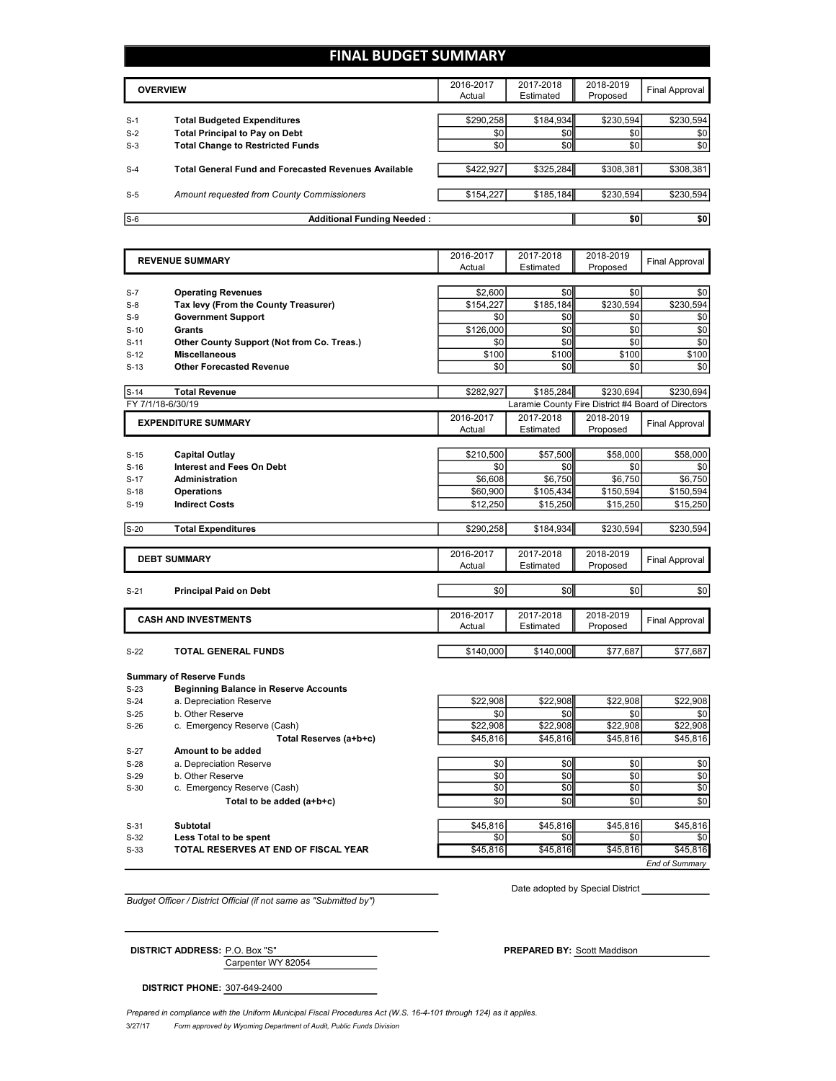# **FINAL BUDGET SUMMARY**

|       | <b>OVERVIEW</b>                                             | 2016-2017<br>Actual | 2017-2018<br>Estimated | 2018-2019<br>Proposed | Final Approval |
|-------|-------------------------------------------------------------|---------------------|------------------------|-----------------------|----------------|
|       |                                                             |                     |                        |                       |                |
| $S-1$ | <b>Total Budgeted Expenditures</b>                          | \$290,258           | \$184,934              | \$230,594             | \$230,594      |
| $S-2$ | <b>Total Principal to Pay on Debt</b>                       | \$0                 | \$0                    | \$0                   | \$0            |
| $S-3$ | <b>Total Change to Restricted Funds</b>                     | \$0                 | \$0                    | \$0                   | \$0            |
|       |                                                             |                     |                        |                       |                |
| $S-4$ | <b>Total General Fund and Forecasted Revenues Available</b> | \$422,927           | \$325,284              | \$308,381             | \$308,381      |
|       |                                                             |                     |                        |                       |                |
| $S-5$ | Amount requested from County Commissioners                  | \$154,227           | \$185,184              | \$230.594             | \$230,594      |
|       |                                                             |                     |                        |                       |                |
| $S-6$ | <b>Additional Funding Needed:</b>                           |                     |                        | \$0                   | \$0            |

|                   | <b>REVENUE SUMMARY</b>                       | 2016-2017  | 2017-2018                                          | 2018-2019       | <b>Final Approval</b> |
|-------------------|----------------------------------------------|------------|----------------------------------------------------|-----------------|-----------------------|
|                   |                                              | Actual     | Estimated                                          | Proposed        |                       |
|                   |                                              |            |                                                    |                 |                       |
| $S-7$             | <b>Operating Revenues</b>                    | \$2,600    | \$0                                                | \$0             | \$0                   |
| $S-8$             | Tax levy (From the County Treasurer)         | \$154.227  | \$185,184                                          | \$230,594       | \$230,594             |
| $S-9$             | <b>Government Support</b>                    | \$0        | \$0                                                | \$0             | \$0                   |
| $S-10$            | Grants                                       | \$126,000  | \$0                                                | \$0             | \$0                   |
| $S-11$            | Other County Support (Not from Co. Treas.)   | \$0        | \$0                                                | \$0             | \$0                   |
| $S-12$            | <b>Miscellaneous</b>                         | \$100      | \$100                                              | \$100           | \$100                 |
| $S-13$            | <b>Other Forecasted Revenue</b>              | \$0        | \$0                                                | \$0             | \$0                   |
| $S-14$            | <b>Total Revenue</b>                         | \$282,927  | \$185,284                                          | \$230,694       | \$230,694             |
| FY 7/1/18-6/30/19 |                                              |            | Laramie County Fire District #4 Board of Directors |                 |                       |
|                   | <b>EXPENDITURE SUMMARY</b>                   | 2016-2017  | 2017-2018                                          | 2018-2019       |                       |
|                   |                                              | Actual     | Estimated                                          | Proposed        | <b>Final Approval</b> |
|                   |                                              |            |                                                    |                 |                       |
| $S-15$            | Capital Outlay                               | \$210,500  | \$57,500                                           | \$58,000        | \$58,000              |
| $S-16$            | <b>Interest and Fees On Debt</b>             | \$0        | \$0                                                | \$0             | \$0                   |
| $S-17$            | <b>Administration</b>                        | \$6,608    | \$6,750                                            | \$6,750         | \$6,750               |
| $S-18$            | <b>Operations</b>                            | \$60,900   | \$105,434                                          | \$150,594       | \$150,594             |
| $S-19$            | <b>Indirect Costs</b>                        | \$12,250   | \$15,250                                           | \$15,250        | \$15,250              |
|                   |                                              |            |                                                    |                 |                       |
| $S-20$            | <b>Total Expenditures</b>                    | \$290,258  | \$184,934                                          | \$230,594       | \$230,594             |
|                   |                                              |            |                                                    |                 |                       |
|                   | <b>DEBT SUMMARY</b>                          | 2016-2017  | 2017-2018                                          | 2018-2019       | <b>Final Approval</b> |
|                   |                                              | Actual     | Estimated                                          | Proposed        |                       |
|                   |                                              |            | \$0                                                | \$0             |                       |
| $S-21$            | <b>Principal Paid on Debt</b>                | \$0        |                                                    |                 | \$0                   |
|                   |                                              | 2016-2017  | 2017-2018                                          | 2018-2019       |                       |
|                   | <b>CASH AND INVESTMENTS</b>                  | Actual     | Estimated                                          | Proposed        | <b>Final Approval</b> |
|                   |                                              |            |                                                    |                 |                       |
| $S-22$            | <b>TOTAL GENERAL FUNDS</b>                   | \$140,000  | \$140,000                                          | \$77.687        | \$77.687              |
|                   |                                              |            |                                                    |                 |                       |
|                   | <b>Summary of Reserve Funds</b>              |            |                                                    |                 |                       |
| $S-23$            | <b>Beginning Balance in Reserve Accounts</b> | \$22,908   | \$22,908                                           |                 | \$22,908              |
| $S-24$            | a. Depreciation Reserve<br>b. Other Reserve  | \$0        | \$0                                                | \$22,908<br>\$0 | \$0                   |
| $S-25$<br>$S-26$  |                                              | \$22.908   | \$22.908                                           | \$22.908        | \$22.908              |
|                   | c. Emergency Reserve (Cash)                  |            |                                                    |                 |                       |
|                   | Total Reserves (a+b+c)                       | \$45,816   | \$45,816                                           | \$45,816        | \$45,816              |
| $S-27$            | Amount to be added                           |            |                                                    |                 |                       |
| $S-28$            | a. Depreciation Reserve                      | \$0        | \$0                                                | \$0             | \$0                   |
| $S-29$            | b. Other Reserve                             | \$0<br>\$0 | \$0<br>\$0                                         | \$0<br>\$0      | \$0<br>\$0            |
| $S-30$            | c. Emergency Reserve (Cash)                  |            |                                                    |                 |                       |
|                   | Total to be added (a+b+c)                    | \$0        | \$0                                                | \$0             | \$0                   |
| $S-31$            | Subtotal                                     | \$45,816   | \$45,816                                           | \$45,816        | \$45,816              |
|                   |                                              |            |                                                    |                 |                       |
| $S-32$            | Less Total to be spent                       | \$0        | \$0                                                | \$0             | \$0                   |
| $S-33$            | TOTAL RESERVES AT END OF FISCAL YEAR         | \$45,816   | \$45,816                                           | \$45,816        | \$45.816              |

*Budget Officer / District Official (if not same as "Submitted by")*

Carpenter WY 82054

Date adopted by Special District

**DISTRICT PHONE:** 307-649-2400

**DISTRICT ADDRESS:** P.O. Box "S" **PREPARED BY:** Scott Maddison

3/27/17 *Form approved by Wyoming Department of Audit, Public Funds Division Prepared in compliance with the Uniform Municipal Fiscal Procedures Act (W.S. 16-4-101 through 124) as it applies.*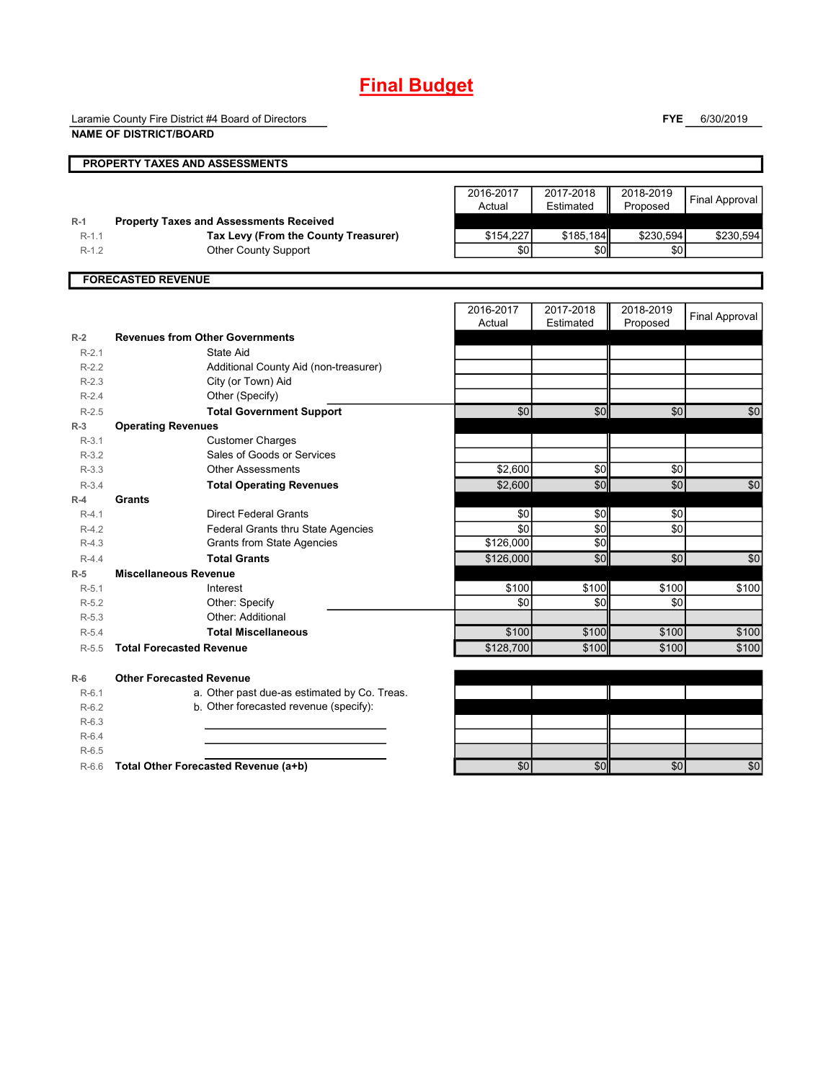# **Final Budget**

Laramie County Fire District #4 Board of Directors

**FYE** 6/30/2019

|                    | <b>NAME OF DISTRICT/BOARD</b>                  |                     |                        |                       |                       |
|--------------------|------------------------------------------------|---------------------|------------------------|-----------------------|-----------------------|
|                    | PROPERTY TAXES AND ASSESSMENTS                 |                     |                        |                       |                       |
|                    |                                                | 2016-2017<br>Actual | 2017-2018<br>Estimated | 2018-2019<br>Proposed | <b>Final Approval</b> |
| $R-1$              | <b>Property Taxes and Assessments Received</b> |                     |                        |                       |                       |
| $R-1.1$<br>$R-1.2$ | Tax Levy (From the County Treasurer)           | \$154,227<br>\$0    | \$185,184<br>\$0       | \$230,594<br>\$0      | \$230,594             |
|                    | <b>Other County Support</b>                    |                     |                        |                       |                       |
|                    | <b>FORECASTED REVENUE</b>                      |                     |                        |                       |                       |
|                    |                                                | 2016-2017<br>Actual | 2017-2018<br>Estimated | 2018-2019<br>Proposed | <b>Final Approval</b> |
| $R-2$              | <b>Revenues from Other Governments</b>         |                     |                        |                       |                       |
| $R-2.1$            | State Aid                                      |                     |                        |                       |                       |
| $R-2.2$<br>$R-2.3$ | Additional County Aid (non-treasurer)          |                     |                        |                       |                       |
| $R-2.4$            | City (or Town) Aid<br>Other (Specify)          |                     |                        |                       |                       |
| $R-2.5$            | <b>Total Government Support</b>                | \$0                 | \$0                    | \$0                   | \$0                   |
| $R-3$              | <b>Operating Revenues</b>                      |                     |                        |                       |                       |
| $R-3.1$            | <b>Customer Charges</b>                        |                     |                        |                       |                       |
| $R-3.2$            | Sales of Goods or Services                     |                     |                        |                       |                       |
| $R-3.3$            | <b>Other Assessments</b>                       | \$2,600             | \$0                    | \$0                   |                       |
| $R-3.4$            | <b>Total Operating Revenues</b>                | \$2,600             | \$0                    | \$0                   | \$0                   |
| $R-4$              | Grants                                         |                     |                        |                       |                       |
| $R-4.1$            | <b>Direct Federal Grants</b>                   | \$0                 | \$0                    | \$0                   |                       |
| $R-4.2$            | <b>Federal Grants thru State Agencies</b>      | \$0                 | \$0                    | \$0                   |                       |
| $R-4.3$            | <b>Grants from State Agencies</b>              | \$126,000           | \$0                    |                       |                       |
| $R-4.4$            | <b>Total Grants</b>                            | \$126,000           | \$0                    | \$0                   | \$0                   |
| $R-5$              | <b>Miscellaneous Revenue</b>                   |                     |                        |                       |                       |
| $R-5.1$            | Interest                                       | \$100               | \$100                  | \$100                 | \$100                 |
| $R-5.2$            | Other: Specify                                 | \$0                 | \$0                    | \$0                   |                       |
| $R-5.3$            | Other: Additional                              |                     |                        |                       |                       |
| $R-5.4$            | <b>Total Miscellaneous</b>                     | \$100               | \$100                  | \$100                 | \$100                 |
| $R-5.5$            | <b>Total Forecasted Revenue</b>                | \$128,700           | \$100                  | \$100                 | \$100                 |
| $R-6$              | <b>Other Forecasted Revenue</b>                |                     |                        |                       |                       |
| $R-6.1$            | a. Other past due-as estimated by Co. Treas.   |                     |                        |                       |                       |
| $R-6.2$            | b. Other forecasted revenue (specify):         |                     |                        |                       |                       |
| $R-6.3$            |                                                |                     |                        |                       |                       |
| $R-6.4$            |                                                |                     |                        |                       |                       |
| $R-6.5$            |                                                |                     |                        |                       |                       |
| $R-6.6$            | Total Other Forecasted Revenue (a+b)           | \$0                 | \$0                    | \$0                   | \$0                   |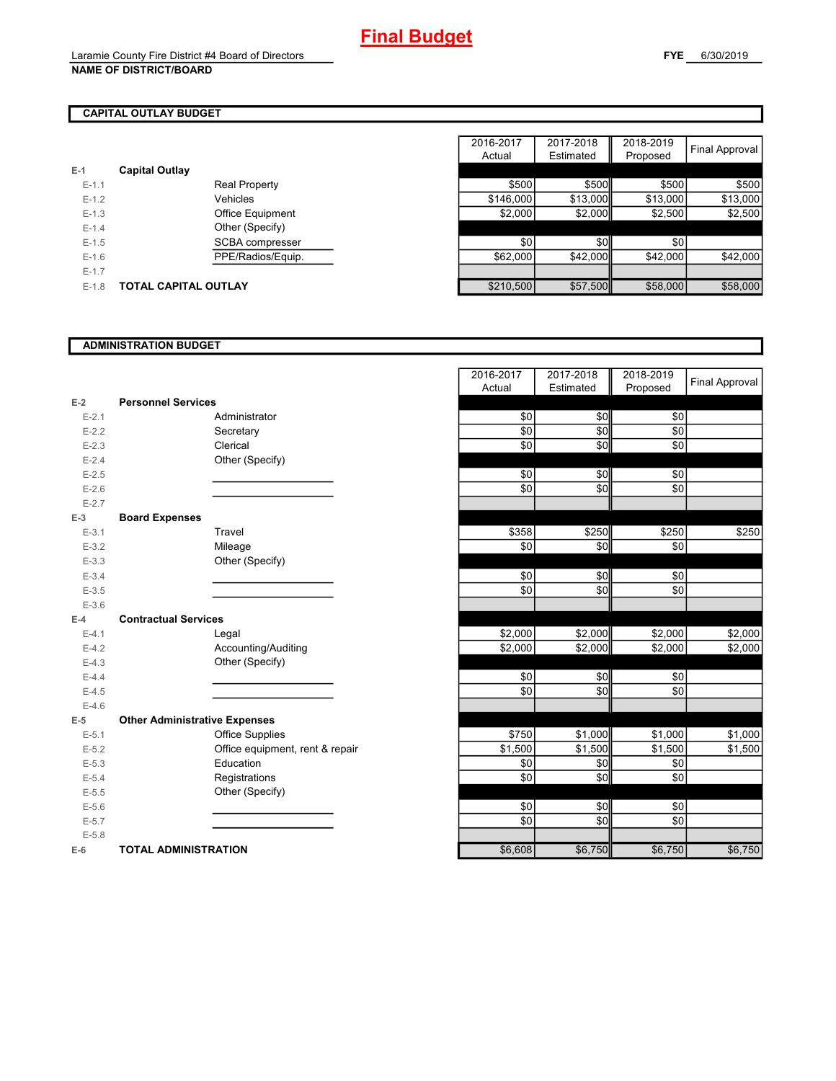# **CAPITAL OUTLAY BUDGET**

| $E-1$     | <b>Capital Outlay</b> |                         |
|-----------|-----------------------|-------------------------|
| $F-11$    |                       | <b>Real Property</b>    |
| $F-12$    |                       | Vehicles                |
| $F-1.3$   |                       | <b>Office Equipment</b> |
| $F-14$    |                       | Other (Specify)         |
| $F-1.5$   |                       | SCBA compresser         |
| $F-16$    |                       | PPE/Radios/Equip.       |
| $E - 1.7$ |                       |                         |
| $F-1.8$   | TOTAL CAPITAL OUTLAY  |                         |

|         |                             |                         | 2016-2017 | 2017-2018 | 2018-2019 |                |
|---------|-----------------------------|-------------------------|-----------|-----------|-----------|----------------|
|         |                             |                         | Actual    | Estimated | Proposed  | Final Approval |
|         | <b>Capital Outlay</b>       |                         |           |           |           |                |
| $E-1.1$ |                             | <b>Real Property</b>    | \$500     | \$500     | \$500     | \$500          |
| $E-1.2$ |                             | Vehicles                | \$146,000 | \$13,000  | \$13,000  | \$13,000       |
| $E-1.3$ |                             | <b>Office Equipment</b> | \$2,000   | \$2,000   | \$2,500   | \$2,500        |
| $E-1.4$ |                             | Other (Specify)         |           |           |           |                |
| $E-1.5$ |                             | SCBA compresser         | \$0       | \$0       | \$0       |                |
| $E-1.6$ |                             | PPE/Radios/Equip.       | \$62,000  | \$42,000  | \$42,000  | \$42,000       |
| $E-1.7$ |                             |                         |           |           |           |                |
| $E-1.8$ | <b>TOTAL CAPITAL OUTLAY</b> |                         | \$210,500 | \$57,500  | \$58,000  | \$58,000       |

### **ADMINISTRATION BUDGET**

|           |                                      |                                 | Actual  | Estimated | <b>PIODOSEG</b> |
|-----------|--------------------------------------|---------------------------------|---------|-----------|-----------------|
| $E-2$     | <b>Personnel Services</b>            |                                 |         |           |                 |
| $E - 2.1$ |                                      | Administrator                   | \$0     | \$0       | \$0             |
| $E - 2.2$ |                                      | Secretary                       | \$0     | \$0       | \$0             |
| $E - 2.3$ |                                      | Clerical                        | \$0     | \$0       | \$0             |
| $E - 2.4$ |                                      | Other (Specify)                 |         |           |                 |
| $E - 2.5$ |                                      |                                 | \$0     | \$0       | \$0             |
| $E-2.6$   |                                      |                                 | \$0     | \$0       | \$0             |
| $E - 2.7$ |                                      |                                 |         |           |                 |
| $E-3$     | <b>Board Expenses</b>                |                                 |         |           |                 |
| $E-3.1$   |                                      | Travel                          | \$358   | \$250     | \$250           |
| $E - 3.2$ |                                      | Mileage                         | \$0     | \$0       | \$0             |
| $E - 3.3$ |                                      | Other (Specify)                 |         |           |                 |
| $E - 3.4$ |                                      |                                 | \$0     | \$0       | \$0             |
| $E - 3.5$ |                                      |                                 | \$0     | \$0       | \$0             |
| $E - 3.6$ |                                      |                                 |         |           |                 |
| $E-4$     | <b>Contractual Services</b>          |                                 |         |           |                 |
| $E - 4.1$ |                                      | Legal                           | \$2,000 | \$2,000   | \$2,000         |
| $E-4.2$   |                                      | Accounting/Auditing             | \$2,000 | \$2,000   | \$2,000         |
| $E-4.3$   |                                      | Other (Specify)                 |         |           |                 |
| $E-4.4$   |                                      |                                 | \$0     | \$0       | \$0             |
| $E-4.5$   |                                      |                                 | \$0     | \$0       | \$0             |
| $E-4.6$   |                                      |                                 |         |           |                 |
| $E-5$     | <b>Other Administrative Expenses</b> |                                 |         |           |                 |
| $E-5.1$   |                                      | <b>Office Supplies</b>          | \$750   | \$1,000   | \$1,000         |
| $E - 5.2$ |                                      | Office equipment, rent & repair | \$1,500 | \$1,500   | \$1,500         |
| $E - 5.3$ |                                      | Education                       | \$0     | \$0       | \$0             |
| $E - 5.4$ |                                      | Registrations                   | \$0     | \$0       | \$0             |
| $E - 5.5$ |                                      | Other (Specify)                 |         |           |                 |
| $E - 5.6$ |                                      |                                 | \$0     | \$0       | \$0             |
| $E - 5.7$ |                                      |                                 | \$0     | \$0       | \$0             |
| $E - 5.8$ |                                      |                                 |         |           |                 |
| $E-6$     | <b>TOTAL ADMINISTRATION</b>          |                                 | \$6,608 | \$6,750   | \$6,750         |

|           |                                      | 2016-2017  | 2017-2018 | 2018-2019  | <b>Final Approval</b> |
|-----------|--------------------------------------|------------|-----------|------------|-----------------------|
|           |                                      | Actual     | Estimated | Proposed   |                       |
| $E-2$     | <b>Personnel Services</b>            |            |           |            |                       |
| $E - 2.1$ | Administrator                        | \$0        | \$0       | \$0        |                       |
| $E - 2.2$ | Secretary                            | \$0        | \$0       | \$0        |                       |
| $E - 2.3$ | Clerical                             | \$0        | \$0       | \$0        |                       |
| $E - 2.4$ | Other (Specify)                      |            |           |            |                       |
| $E - 2.5$ |                                      | \$0        | \$0       | \$0        |                       |
| $E-2.6$   |                                      | \$0        | \$0       | \$0        |                       |
| $E - 2.7$ |                                      |            |           |            |                       |
| $E-3$     | <b>Board Expenses</b>                |            |           |            |                       |
| $E-3.1$   | Travel                               | \$358      | \$250     | \$250      | \$250                 |
| $E - 3.2$ | Mileage                              | \$0        | \$0       | \$0        |                       |
| $E - 3.3$ | Other (Specify)                      |            |           |            |                       |
| $E - 3.4$ |                                      | \$0        | \$0       | \$0        |                       |
| $E - 3.5$ |                                      | \$0        | \$0       | \$0        |                       |
| $E - 3.6$ |                                      |            |           |            |                       |
| $E-4$     | <b>Contractual Services</b>          |            |           |            |                       |
| $E - 4.1$ | Legal                                | \$2,000    | \$2,000   | \$2,000    | \$2,000               |
| $E-4.2$   | Accounting/Auditing                  | \$2,000    | \$2,000   | \$2,000    | \$2,000               |
| $E-4.3$   | Other (Specify)                      |            |           |            |                       |
| $E-4.4$   |                                      | \$0        | \$0       | \$0        |                       |
| $E-4.5$   |                                      | \$0        | \$0       | \$0        |                       |
| $E-4.6$   |                                      |            |           |            |                       |
| $E-5$     | <b>Other Administrative Expenses</b> |            |           |            |                       |
| $E-5.1$   | <b>Office Supplies</b>               | \$750      | \$1,000   | \$1,000    | \$1,000               |
| $E-5.2$   | Office equipment, rent & repair      | \$1,500    | \$1,500   | \$1,500    | \$1,500               |
| $E - 5.3$ | Education                            | \$0        | \$0       | \$0        |                       |
| $E-5.4$   | Registrations                        | \$0        | \$0       | \$0        |                       |
| $E - 5.5$ | Other (Specify)                      |            |           |            |                       |
| $E - 5.6$ |                                      | $\sqrt{6}$ | \$0       | $\sqrt{6}$ |                       |
| $E - 5.7$ |                                      | \$0        | \$0       | \$0        |                       |
| $E - 5.8$ |                                      |            |           |            |                       |
| $E-6$     | <b>TOTAL ADMINISTRATION</b>          | \$6,608    | \$6,750   | \$6,750    | \$6,750               |
|           |                                      |            |           |            |                       |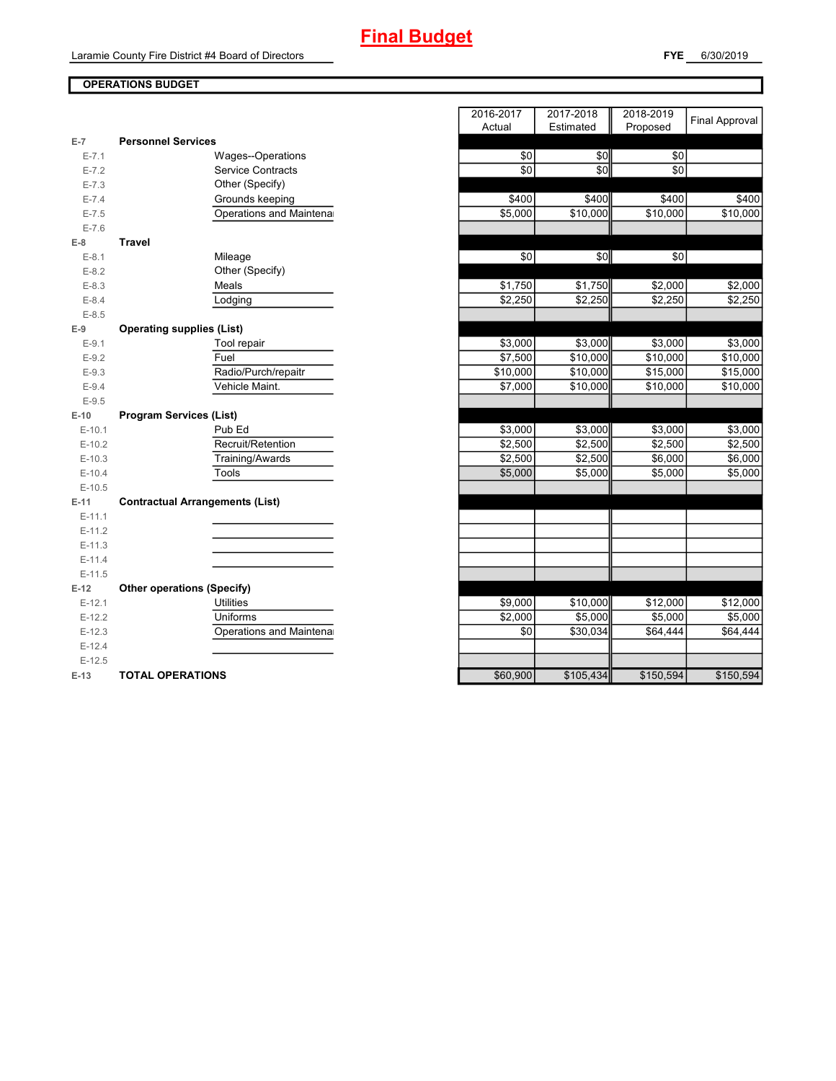### **FYE** 6/30/2019

# **OPERATIONS BUDGET**

| $E-7$     | <b>Personnel Services</b>              |          |                      |           |           |
|-----------|----------------------------------------|----------|----------------------|-----------|-----------|
| $E - 7.1$ | Wages--Operations                      | \$0      | \$0                  | \$0       |           |
| $E - 7.2$ | <b>Service Contracts</b>               | \$0      | \$0                  | \$0       |           |
| $E - 7.3$ | Other (Specify)                        |          |                      |           |           |
| $E - 7.4$ | Grounds keeping                        | \$400    | \$400                | \$400     | \$400     |
| $E - 7.5$ | Operations and Maintena                | \$5,000  | \$10,000             | \$10,000  | \$10,000  |
| $E - 7.6$ |                                        |          |                      |           |           |
| $E-8$     | <b>Travel</b>                          |          |                      |           |           |
| $E-8.1$   | Mileage                                | \$0      | \$0                  | \$0       |           |
| $E - 8.2$ | Other (Specify)                        |          |                      |           |           |
| $E-8.3$   | Meals                                  | \$1,750  | \$1,750              | \$2,000   | \$2,000   |
| $E-8.4$   | Lodging                                | \$2,250  | \$2,250              | \$2,250   | \$2,250   |
| $E - 8.5$ |                                        |          |                      |           |           |
| $E-9$     | <b>Operating supplies (List)</b>       |          |                      |           |           |
| $E-9.1$   | Tool repair                            | \$3,000  | \$3,000              | \$3,000   | \$3,000   |
| $E - 9.2$ | Fuel                                   | \$7,500  | \$10,000             | \$10,000  | \$10,000  |
| $E-9.3$   | Radio/Purch/repaitr                    | \$10,000 | $\overline{$}10,000$ | \$15,000  | \$15,000  |
| $E-9.4$   | Vehicle Maint.                         | \$7,000  | \$10,000             | \$10,000  | \$10,000  |
| $E-9.5$   |                                        |          |                      |           |           |
| $E-10$    | <b>Program Services (List)</b>         |          |                      |           |           |
| $E-10.1$  | Pub Ed                                 | \$3,000  | \$3,000              | \$3,000   | \$3,000   |
| $E-10.2$  | Recruit/Retention                      | \$2,500  | \$2,500              | \$2,500   | \$2,500   |
| $E-10.3$  | Training/Awards                        | \$2,500  | \$2,500              | \$6,000   | \$6,000   |
| $E-10.4$  | Tools                                  | \$5,000  | \$5,000              | \$5,000   | \$5,000   |
| $E-10.5$  |                                        |          |                      |           |           |
| $E-11$    | <b>Contractual Arrangements (List)</b> |          |                      |           |           |
| $E-11.1$  |                                        |          |                      |           |           |
| $E-11.2$  |                                        |          |                      |           |           |
| $E-11.3$  |                                        |          |                      |           |           |
| $E-11.4$  |                                        |          |                      |           |           |
| $E-11.5$  |                                        |          |                      |           |           |
| $E-12$    | <b>Other operations (Specify)</b>      |          |                      |           |           |
| $E-12.1$  | <b>Utilities</b>                       | \$9,000  | $\overline{$}10,000$ | \$12,000  | \$12,000  |
| $E-12.2$  | Uniforms                               | \$2,000  | \$5,000              | \$5,000   | \$5,000   |
| $E-12.3$  | Operations and Maintena                | \$0      | \$30,034             | \$64,444  | \$64,444  |
| $E-12.4$  |                                        |          |                      |           |           |
| $E-12.5$  |                                        |          |                      |           |           |
| $E-13$    | <b>TOTAL OPERATIONS</b>                | \$60,900 | \$105,434            | \$150,594 | \$150,594 |

|                |                                        | 2016-2017 | 2017-2018 | 2018-2019 | <b>Final Approval</b> |
|----------------|----------------------------------------|-----------|-----------|-----------|-----------------------|
|                |                                        | Actual    | Estimated | Proposed  |                       |
| $\overline{7}$ | <b>Personnel Services</b>              |           |           |           |                       |
| $E - 7.1$      | <b>Wages--Operations</b>               | \$0       | \$0       | \$0       |                       |
| $E - 7.2$      | <b>Service Contracts</b>               | \$0       | \$0       | \$0       |                       |
| $E - 7.3$      | Other (Specify)                        |           |           |           |                       |
| $E - 7.4$      | Grounds keeping                        | \$400     | \$400     | \$400     | \$400                 |
| $E - 7.5$      | Operations and Maintena                | \$5,000   | \$10,000  | \$10,000  | \$10,000              |
| $E - 7.6$      |                                        |           |           |           |                       |
| 8              | <b>Travel</b>                          |           |           |           |                       |
| $E-8.1$        | Mileage                                | \$0       | \$0       | \$0       |                       |
| $E-8.2$        | Other (Specify)                        |           |           |           |                       |
| $E-8.3$        | Meals                                  | \$1,750   | \$1,750   | \$2,000   | \$2,000               |
| $E - 8.4$      | Lodging                                | \$2,250   | \$2,250   | \$2,250   | \$2,250               |
| $E - 8.5$      |                                        |           |           |           |                       |
| 9              | <b>Operating supplies (List)</b>       |           |           |           |                       |
| $E-9.1$        | Tool repair                            | \$3,000   | \$3,000   | \$3,000   | \$3,000               |
| $E-9.2$        | Fuel                                   | \$7,500   | \$10,000  | \$10,000  | \$10,000              |
| $E - 9.3$      | Radio/Purch/repaitr                    | \$10,000  | \$10,000  | \$15,000  | \$15,000              |
| $E-9.4$        | Vehicle Maint.                         | \$7,000   | \$10,000  | \$10,000  | \$10,000              |
| $E - 9.5$      |                                        |           |           |           |                       |
| $-10$          | <b>Program Services (List)</b>         |           |           |           |                       |
| $E-10.1$       | Pub Ed                                 | \$3,000   | \$3,000   | \$3,000   | \$3,000               |
| $E-10.2$       | Recruit/Retention                      | \$2,500   | \$2,500   | \$2,500   | \$2,500               |
| $E-10.3$       | Training/Awards                        | \$2,500   | \$2,500   | \$6,000   | \$6,000               |
| $E-10.4$       | Tools                                  | \$5,000   | \$5,000   | \$5,000   | \$5,000               |
| $E-10.5$       |                                        |           |           |           |                       |
| 11.            | <b>Contractual Arrangements (List)</b> |           |           |           |                       |
| $E-11.1$       |                                        |           |           |           |                       |
| $E-11.2$       |                                        |           |           |           |                       |
| $E-11.3$       |                                        |           |           |           |                       |
| $E-11.4$       |                                        |           |           |           |                       |
| $E-11.5$       |                                        |           |           |           |                       |
| 12             | <b>Other operations (Specify)</b>      |           |           |           |                       |
| $E-12.1$       | <b>Utilities</b>                       | \$9,000   | \$10,000  | \$12,000  | \$12,000              |
| $E-12.2$       | Uniforms                               | \$2,000   | \$5,000   | \$5,000   | \$5,000               |
| $E-12.3$       | Operations and Maintena                | \$0       | \$30,034  | \$64,444  | \$64,444              |
| $E-12.4$       |                                        |           |           |           |                       |
| $E-12.5$       |                                        |           |           |           |                       |
| $-13$          | <b>TOTAL OPERATIONS</b>                | \$60,900  | \$105434  | \$150 594 | \$150 594             |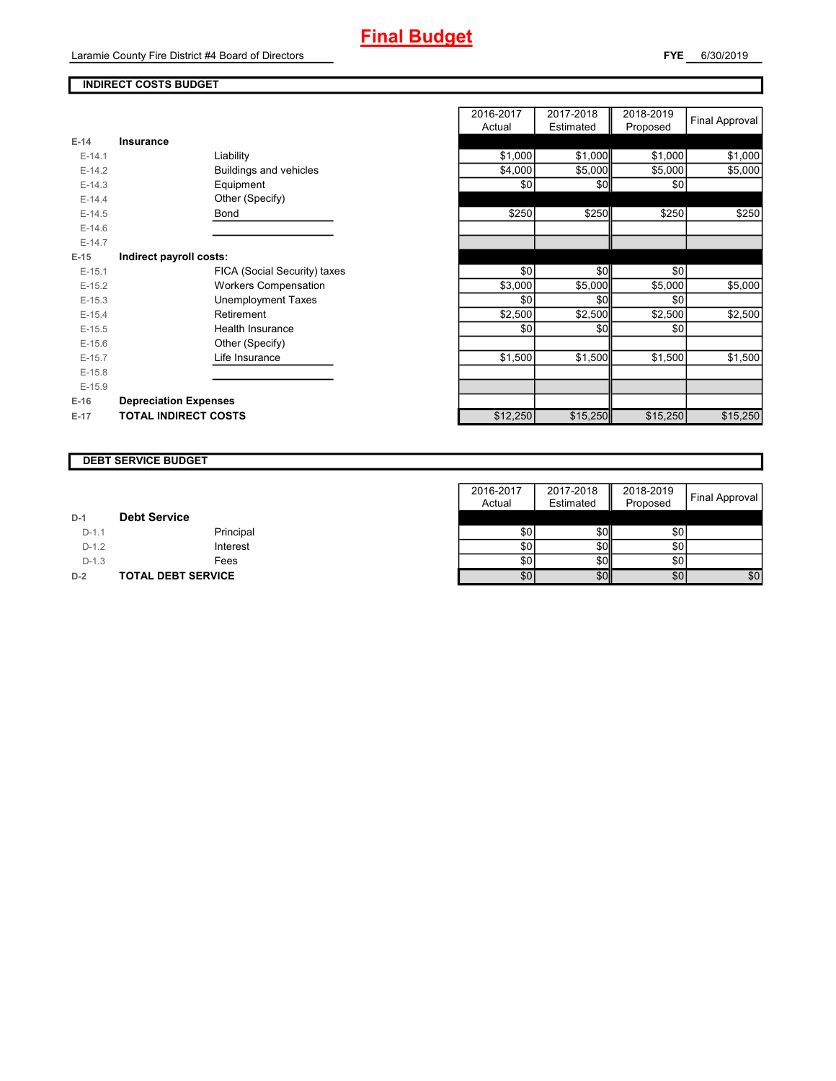Laramie County Fire District #4 Board of Directors

# **INDIRECT COSTS BUDGET**

| $E-14$   | <b>Insurance</b>             |          |          |          |
|----------|------------------------------|----------|----------|----------|
| $E-14.1$ | Liability                    | \$1,000  | \$1,000  | \$1,000  |
| $E-14.2$ | Buildings and vehicles       | \$4,000  | \$5,000  | \$5,000  |
| $E-14.3$ | Equipment                    | \$0      | \$0      | \$0      |
| $E-14.4$ | Other (Specify)              |          |          |          |
| $E-14.5$ | Bond                         | \$250    | \$250    | \$250    |
| $E-14.6$ |                              |          |          |          |
| $E-14.7$ |                              |          |          |          |
| $E-15$   | Indirect payroll costs:      |          |          |          |
| $E-15.1$ | FICA (Social Security) taxes | \$0      | \$0      | \$0      |
| $E-15.2$ | <b>Workers Compensation</b>  | \$3,000  | \$5,000  | \$5,000  |
| $E-15.3$ | Unemployment Taxes           | \$0      | \$0      | \$0      |
| $E-15.4$ | Retirement                   | \$2,500  | \$2,500  | \$2,500  |
| $E-15.5$ | Health Insurance             | \$0      | \$0      | \$0      |
| $E-15.6$ | Other (Specify)              |          |          |          |
| $E-15.7$ | Life Insurance               | \$1,500  | \$1,500  | \$1,500  |
| $E-15.8$ |                              |          |          |          |
| $E-15.9$ |                              |          |          |          |
| $E-16$   | <b>Depreciation Expenses</b> |          |          |          |
| $E-17$   | <b>TOTAL INDIRECT COSTS</b>  | \$12,250 | \$15,250 | \$15,250 |
|          |                              |          |          |          |

|          |                               | 2016-2017<br>Actual | 2017-2018<br>Estimated | 2018-2019<br>Proposed | <b>Final Approval</b> |
|----------|-------------------------------|---------------------|------------------------|-----------------------|-----------------------|
| $E-14$   | <b>Insurance</b>              |                     |                        |                       |                       |
| $E-14.1$ | Liability                     | \$1,000             | \$1,000                | \$1,000               | \$1,000               |
| $E-14.2$ | <b>Buildings and vehicles</b> | \$4,000             | \$5,000                | \$5,000               | \$5,000               |
| $E-14.3$ | Equipment                     | \$0                 | \$0                    | \$0                   |                       |
| $E-14.4$ | Other (Specify)               |                     |                        |                       |                       |
| $E-14.5$ | Bond                          | \$250               | \$250                  | \$250                 | \$250                 |
| $E-14.6$ |                               |                     |                        |                       |                       |
| $E-14.7$ |                               |                     |                        |                       |                       |
| $E-15$   | Indirect payroll costs:       |                     |                        |                       |                       |
| $E-15.1$ | FICA (Social Security) taxes  | \$0                 | \$0                    | \$0                   |                       |
| $E-15.2$ | <b>Workers Compensation</b>   | \$3,000             | \$5,000                | \$5,000               | \$5,000               |
| $E-15.3$ | <b>Unemployment Taxes</b>     | \$0                 | \$0                    | \$0                   |                       |
| $E-15.4$ | Retirement                    | \$2,500             | \$2,500                | \$2,500               | \$2,500               |
| $E-15.5$ | Health Insurance              | \$0                 | \$0                    | \$0                   |                       |
| $E-15.6$ | Other (Specify)               |                     |                        |                       |                       |
| $E-15.7$ | Life Insurance                | \$1,500             | \$1,500                | \$1,500               | \$1,500               |
| $E-15.8$ |                               |                     |                        |                       |                       |
| $E-15.9$ |                               |                     |                        |                       |                       |
| E-16     | <b>Depreciation Expenses</b>  |                     |                        |                       |                       |
| $E-17$   | <b>TOTAL INDIRECT COSTS</b>   | \$12,250            | \$15,250               | \$15,250              | \$15,250              |
|          |                               |                     |                        |                       |                       |

#### **DEBT SERVICE BUDGET**

|         |                           | 2016-2017 | 2017-2018        | 2018-2019        |                |
|---------|---------------------------|-----------|------------------|------------------|----------------|
|         |                           | Actual    | Estimated        | Proposed         | Final Approval |
| $D-1$   | <b>Debt Service</b>       |           |                  |                  |                |
| $D-1.1$ | Principal                 | \$0       | \$0              | \$0 <sub>1</sub> |                |
| $D-1.2$ | Interest                  | \$0       | \$0 <sub>1</sub> | \$0              |                |
| $D-1.3$ | Fees                      | \$0       | <b>\$0</b>       | \$0              |                |
| $D-2$   | <b>TOTAL DEBT SERVICE</b> | \$0       | \$0              | \$0              | \$0            |